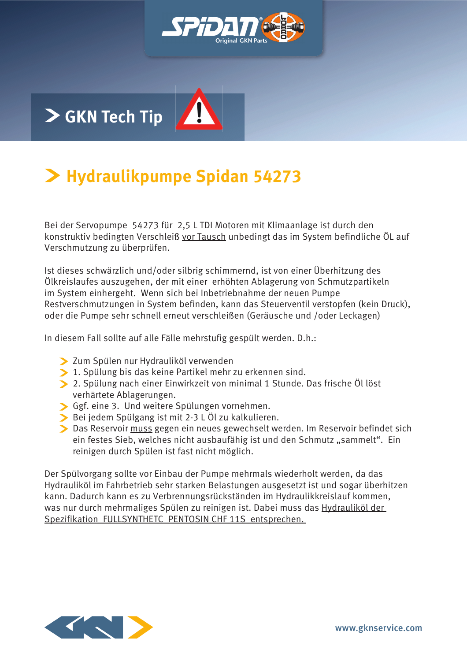

## **Hydraulikpumpe Spidan 54273**

Bei der Servopumpe 54273 für 2,5 L TDI Motoren mit Klimaanlage ist durch den konstruktiv bedingten Verschleiß vor Tausch unbedingt das im System befindliche ÖL auf Verschmutzung zu überprüfen.

Ist dieses schwärzlich und/oder silbrig schimmernd, ist von einer Überhitzung des Ölkreislaufes auszugehen, der mit einer erhöhten Ablagerung von Schmutzpartikeln im System einhergeht. Wenn sich bei Inbetriebnahme der neuen Pumpe Restverschmutzungen in System befinden, kann das Steuerventil verstopfen (kein Druck), oder die Pumpe sehr schnell erneut verschleißen (Geräusche und /oder Leckagen)

In diesem Fall sollte auf alle Fälle mehrstufig gespült werden. D.h.:

- > Zum Spülen nur Hydrauliköl verwenden
- 1. Spülung bis das keine Partikel mehr zu erkennen sind.
- 2. Spülung nach einer Einwirkzeit von minimal 1 Stunde. Das frische Öl löst verhärtete Ablagerungen.
- Ggf. eine 3. Und weitere Spülungen vornehmen.
- Bei jedem Spülgang ist mit 2-3 L Öl zu kalkulieren.
- Das Reservoir muss gegen ein neues gewechselt werden. Im Reservoir befindet sich ein festes Sieb, welches nicht ausbaufähig ist und den Schmutz "sammelt". Ein reinigen durch Spülen ist fast nicht möglich.

Der Spülvorgang sollte vor Einbau der Pumpe mehrmals wiederholt werden, da das Hydrauliköl im Fahrbetrieb sehr starken Belastungen ausgesetzt ist und sogar überhitzen kann. Dadurch kann es zu Verbrennungsrückständen im Hydraulikkreislauf kommen, was nur durch mehrmaliges Spülen zu reinigen ist. Dabei muss das Hydrauliköl der Spezifikation FULLSYNTHETC PENTOSIN CHF 11S entsprechen.

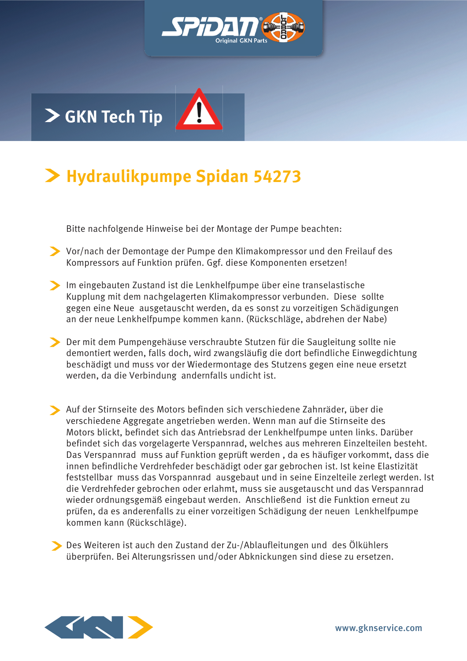

## **Hydraulikpumpe Spidan 54273**

Bitte nachfolgende Hinweise bei der Montage der Pumpe beachten:

- Vor/nach der Demontage der Pumpe den Klimakompressor und den Freilauf des Kompressors auf Funktion prüfen. Ggf. diese Komponenten ersetzen!
- Im eingebauten Zustand ist die Lenkhelfpumpe über eine transelastische Kupplung mit dem nachgelagerten Klimakompressor verbunden. Diese sollte gegen eine Neue ausgetauscht werden, da es sonst zu vorzeitigen Schädigungen an der neue Lenkhelfpumpe kommen kann. (Rückschläge, abdrehen der Nabe)
- Der mit dem Pumpengehäuse verschraubte Stutzen für die Saugleitung sollte nie demontiert werden, falls doch, wird zwangsläufig die dort befindliche Einwegdichtung beschädigt und muss vor der Wiedermontage des Stutzens gegen eine neue ersetzt werden, da die Verbindung andernfalls undicht ist.
- Auf der Stirnseite des Motors befinden sich verschiedene Zahnräder, über die verschiedene Aggregate angetrieben werden. Wenn man auf die Stirnseite des Motors blickt, befindet sich das Antriebsrad der Lenkhelfpumpe unten links. Darüber befindet sich das vorgelagerte Verspannrad, welches aus mehreren Einzelteilen besteht. Das Verspannrad muss auf Funktion geprüft werden , da es häufiger vorkommt, dass die innen befindliche Verdrehfeder beschädigt oder gar gebrochen ist. Ist keine Elastizität feststellbar muss das Vorspannrad ausgebaut und in seine Einzelteile zerlegt werden. Ist die Verdrehfeder gebrochen oder erlahmt, muss sie ausgetauscht und das Verspannrad wieder ordnungsgemäß eingebaut werden. Anschließend ist die Funktion erneut zu prüfen, da es anderenfalls zu einer vorzeitigen Schädigung der neuen Lenkhelfpumpe kommen kann (Rückschläge).

Des Weiteren ist auch den Zustand der Zu-/Ablaufleitungen und des Ölkühlers überprüfen. Bei Alterungsrissen und/oder Abknickungen sind diese zu ersetzen.

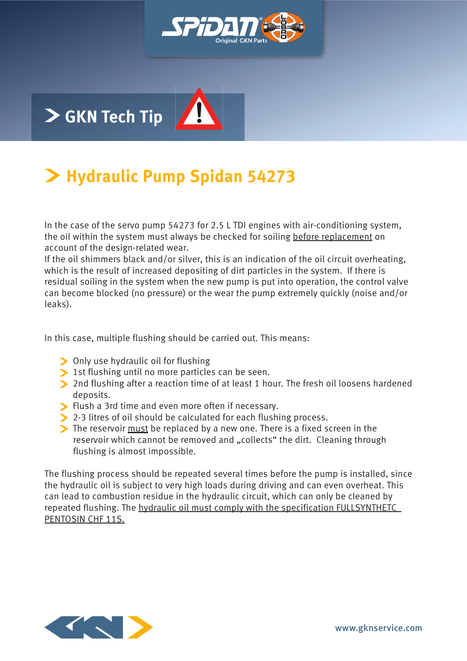

#### **Hydraulic Pump Spidan 54273**

In the case of the servo pump 54273 for 2.5 L TDI engines with air-conditioning system, the oil within the system must always be checked for soiling before replacement on account of the design-related wear.

If the oil shimmers black and/or silver, this is an indication of the oil circuit overheating, which is the result of increased depositing of dirt particles in the system. If there is residual soiling in the system when the new pump is put into operation, the control valve can become blocked (no pressure) or the wear the pump extremely quickly (noise and/or leaks).

In this case, multiple flushing should be carried out. This means:

- Only use hydraulic oil for flushing
- Ist flushing until no more particles can be seen.
- 2nd flushing after a reaction time of at least 1 hour. The fresh oil loosens hardened deposits.
- Flush a 3rd time and even more often if necessary.
- 2-3 litres of oil should be calculated for each flushing process.
- The reservoir must be replaced by a new one. There is a fixed screen in the reservoir which cannot be removed and "collects" the dirt. Cleaning through flushing is almost impossible.

The flushing process should be repeated several times before the pump is installed, since the hydraulic oil is subject to very high loads during driving and can even overheat. This can lead to combustion residue in the hydraulic circuit, which can only be cleaned by repeated flushing. The hydraulic oil must comply with the specification FULLSYNTHETC PENTOSIN CHF 11S.